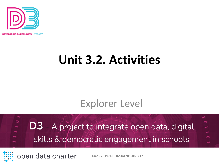

**OPING DIGITAL DATA** LITERACY

## **Unit 3.2. Activities**

#### Explorer Level

 $\overline{\phantom{a}}$  $\circ$ Ó **D3** - A project to integrate open data, digital skills & democratic engagement in schools

open data charter

**KA2 - 2019-1-BE02-KA201-060212**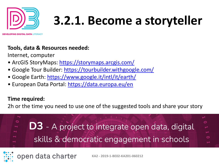

# **3.2.1. Become a storyteller**

PING DIGITAL DATA LITERACY

#### **Tools, data & Resources needed:**

open data charter

Internet, computer

- ArcGIS StoryMaps:<https://storymaps.arcgis.com/>
- Google Tour Builder: <https://tourbuilder.withgoogle.com/>
- Google Earth: <https://www.google.it/intl/it/earth/>
- European Data Portal: <https://data.europa.eu/en>

#### **Time required:**

2h or the time you need to use one of the suggested tools and share your story



**KA2 - 2019-1-BE02-KA201-060212**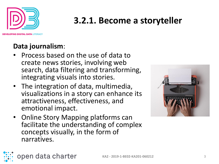

### **3.2.1. Become a storyteller**

**ING DIGITAL DATA LITERACY** 

#### **Data journalism**:

open data charter

- Process based on the use of data to create news stories, involving web search, data filtering and transforming, integrating visuals into stories.
- The integration of data, multimedia, visualizations in a story can enhance its attractiveness, effectiveness, and emotional impact.
- Online Story Mapping platforms can facilitate the understanding of complex concepts visually, in the form of narratives.

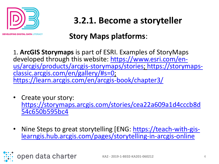

**OPING DIGITAL DATA LITERACY** 

### **3.2.1. Become a storyteller**

#### **Story Maps platforms**:

1. **ArcGIS Storymaps** is part of ESRI. Examples of StoryMaps [developed through this website: https://www.esri.com/en](https://www.esri.com/en-us/arcgis/products/arcgis-storymaps/stories)[us/arcgis/products/arcgis-storymaps/stories; https://storymaps](https://storymaps-classic.arcgis.com/en/gallery/#s=0)classic.arcgis.com/en/gallery/#s=0; <https://learn.arcgis.com/en/arcgis-book/chapter3/>

- Create your story: [https://storymaps.arcgis.com/stories/cea22a609a1d4cccb8d](https://storymaps.arcgis.com/stories/cea22a609a1d4cccb8d54c650b595bc4) 54c650b595bc4
- [Nine Steps to great storytelling \[ENG: https://teach-with-gis](https://teach-with-gis-learngis.hub.arcgis.com/pages/storytelling-in-arcgis-online)learngis.hub.arcgis.com/pages/storytelling-in-arcgis-online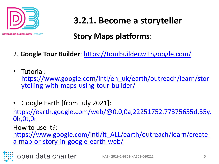

**OPING DIGITAL DATA LITERACY** 

### **3.2.1. Become a storyteller**

#### **Story Maps platforms**:

- 2. **Google Tour Builder**:<https://tourbuilder.withgoogle.com/>
- Tutorial: [https://www.google.com/intl/en\\_uk/earth/outreach/learn/stor](https://www.google.com/intl/en_uk/earth/outreach/learn/storytelling-with-maps-using-tour-builder/) ytelling-with-maps-using-tour-builder/
- Google Earth [from July 2021]:

[https://earth.google.com/web/@0,0,0a,22251752.77375655d,35y,](https://earth.google.com/web/@0,0,0a,22251752.77375655d,35y,0h,0t,0r) 0h,0t,0r

How to use it?:

[https://www.google.com/intl/it\\_ALL/earth/outreach/learn/create](https://www.google.com/intl/it_ALL/earth/outreach/learn/create-a-map-or-story-in-google-earth-web/)a-map-or-story-in-google-earth-web/

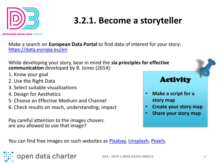

### **3.2.1. Become a storyteller**

Make a search on **European Data Portal** to find data of interest for your story: <https://data.europa.eu/en>

While developing your story, bear in mind the **six principles for effective communication** developed by B. Jones (2014):

- 1. Know your goal
- 2. Use the Right Data
- 3. Select suitable visualizations
- 4. Design for Aesthetics
- 5. Choose an Effective Medium and Channel
- 6. Check results on reach, understanding, impact

Pay careful attention to the images chosen: are you allowed to use that image?

#### Activity

- **Make a script for a story map**
- **Create your story map**
- **Share your story map**

You can find free images on such websites as [Pixabay,](https://pixabay.com/it/) [Unsplash,](https://unsplash.com/) [Pexels](https://www.pexels.com/it-it/).

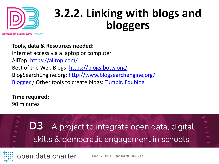

**PING DIGITAL DATA** LITERACY

#### **Tools, data & Resources needed:**

Internet access via a laptop or computer AllTop:<https://alltop.com/> Best of the Web Blogs:<https://blogs.botw.org/> BlogSearchEngine.org: <http://www.blogsearchengine.org/> [Blogger](https://www.blogger.com/about/) / Other tools to create blogs: [Tumblr,](https://www.tumblr.com/) [Edublog](https://edublogs.org/)

**Time required:** 

90 minutes



**KA2 - 2019-1-BE02-KA201-060212**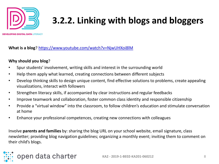

**OPING DIGITAL DATA LITERACY** 

**What is a blog**?<https://www.youtube.com/watch?v=NjwUHXoi8lM>

#### **Why should you blog**?

- Spur students' involvement, writing skills and interest in the surrounding world
- Help them apply what learned, creating connections between different subjects
- Develop thinking skills to design unique content, find effective solutions to problems, create appealing visualizations, interact with followers
- Strengthen literacy skills, if accompanied by clear instructions and regular feedbacks
- Improve teamwork and collaboration, foster common class identity and responsible citizenship
- Provide a "virtual window" into the classroom, to follow children's education and stimulate conversation at home
- Enhance your professional competences, creating new connections with colleagues

Involve **parents and families** by: sharing the blog URL on your school website, email signature, class newsletter; providing blog navigation guidelines; organizing a monthly event; inviting them to comment on their child's blogs.

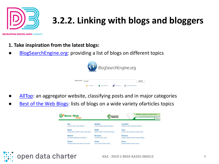

**DEVELOPING DIGITAL DATA LITERACY** 

- **1. Take inspiration from the latest blogs:**
- [BlogSearchEngine.org:](http://www.blogsearchengine.org/) providing a list of blogs on different topics



- [AllTop:](https://alltop.com/) an aggregator website, classifying posts and in major categories
- [Best of the Web Blogs:](https://blogs.botw.org/) lists of blogs on a wide variety of articles topics



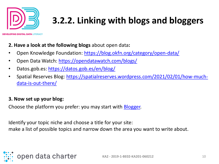

**OPING DIGITAL DATA LITERACY** 

#### **2. Have a look at the following blogs** about open data**:**

- Open Knowledge Foundation: <https://blog.okfn.org/category/open-data/>
- Open Data Watch: <https://opendatawatch.com/blogs/>
- Datos.gob.es:<https://datos.gob.es/en/blog/>
- [Spatial Reserves Blog: https://spatialreserves.wordpress.com/2021/02/01/how-much](https://spatialreserves.wordpress.com/2021/02/01/how-much-data-is-out-there/)data-is-out-there/

#### **3. Now set up your blog:**

Choose the platform you prefer: you may start with **Blogger**.

Identify your topic niche and choose a title for your site:

make a list of possible topics and narrow down the area you want to write about.

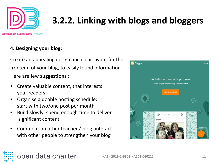

**OPING DIGITAL DATA LITERACY** 

#### **4. Designing your blog:**

Create an appealing design and clear layout for the frontend of your blog, to easily found information. Here are few **suggestions** :

- Create valuable content, that interests your readers
- Organise a doable posting schedule: start with two/one post per month

open data charter

- Build slowly: spend enough time to deliver significant content
- Comment on other teachers' blog: interact with other people to strengthen your blog

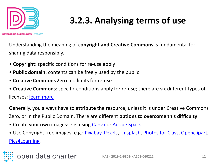

Understanding the meaning of **copyright and Creative Commons** is fundamental for sharing data responsibly.

- **Copyright**: specific conditions for re-use apply
- **Public domain**: contents can be freely used by the public
- **Creative Commons Zero**: no limits for re-use
- **Creative Commons**: specific conditions apply for re-use; there are six different types of licenses: [learn more](https://cpb-ap-se2.wpmucdn.com/global2.vic.edu.au/dist/8/5256/files/2019/09/Six-Creative-Commons-Licences-Overview-_-Kathleen-Morris.pdf)

Generally, you always have to **attribute** the resource, unless it is under Creative Commons Zero, or in the Public Domain. There are different **options to overcome this difficulty**:

- Create your own images: e.g. using [Canva](https://www.canva.com/) or [Adobe Spark](https://spark.adobe.com/it-IT/)
- Use Copyright free images, e.g.: [Pixabay,](https://pixabay.com/it/) [Pexels](https://www.pexels.com/it-it/), [Unsplash](https://unsplash.com/), [Photos for Class](https://www.photosforclass.com/), [Openclipart,](https://openclipart.org/) [Pics4Learning](https://www.pics4learning.com/).

## open data charter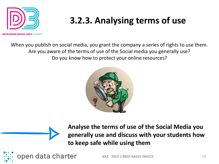

IN**G DIGITAL DATA** LITERACY

When you publish on social media, you grant the company a series of rights to use them. Are you aware of the terms of use of the Social media you generally use? Do you know how to protect your online resources?





**Analyse the terms of use of the Social Media you generally use and discuss with your students how to keep safe while using them**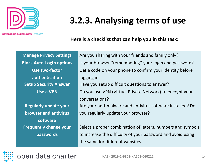

IN**G DIGITAL DATA** LITERACY

#### **Here is a checklist that can help you in this task:**

**Use two-factor authentication Regularly update your browser and antivirus** 

**software Frequently change your passwords**

**Manage Privacy Settings** Are you sharing with your friends and family only? **Block Auto-Login options** Is your browser "remembering" your login and password? Get a code on your phone to confirm your identity before logging in. **Setup Security Answer** Have you setup difficult questions to answer? **Use a VPN** Do you use VPN (Virtual Private Network) to encrypt your conversations? Are your anti-malware and antivirus software installed? Do you regularly update your browser?

> Select a proper combination of letters, numbers and symbols to increase the difficulty of your password and avoid using the same for different websites.

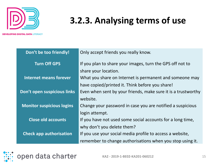

**DEVELOPING DIGITAL DATA LITERACY** 

| Don't be too friendly!           | Only accept friends you really know.                          |
|----------------------------------|---------------------------------------------------------------|
| <b>Turn Off GPS</b>              | If you plan to share your images, turn the GPS off not to     |
|                                  | share your location.                                          |
| <b>Internet means forever</b>    | What you share on Internet is permanent and someone may       |
|                                  | have copied/printed it. Think before you share!               |
| Don't open suspicious links      | Even when sent by your friends, make sure it is a trustworthy |
|                                  | website.                                                      |
| <b>Monitor suspicious logins</b> | Change your password in case you are notified a suspicious    |
|                                  | login attempt.                                                |
| <b>Close old accounts</b>        | If you have not used some social accounts for a long time,    |
|                                  | why don't you delete them?                                    |
| <b>Check app authorisation</b>   | If you use your social media profile to access a website,     |
|                                  | remember to change authorisations when you stop using it.     |



**KA2 - 2019-1-BE02-KA201-060212** 15